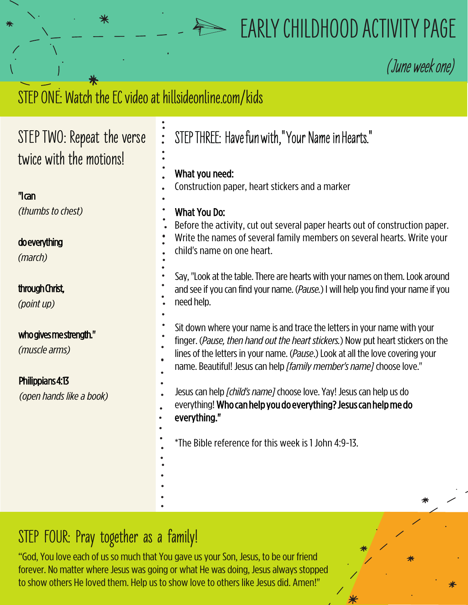## **EARLY CHILDHOOD ACTIVITY PAGE**

**(**June week one)

## STEP ONE: Watch the EC video at hillsideonline.com/kids **STEP TWO: Repeat the verse twice with the motions!** "I can *(thumbs tochest)* do everything *(march)* through Christ, *(pointup)* who gives me strength." *(musclearms)* Philippians 4:13 *(openhands likeabook)*  STEP THREE: Have fun with," Your Name in Hearts." What you need: Construction paper, heart stickers and a marker What You Do: Before the activity, cut out several paper hearts out of construction paper. Write the names of several family members on several hearts. Write your child's name on one heart. Say, "Look at the table. There are hearts with your names on them. Look around and see if you can find your name. (*Pause.*) I will help you find your name if you need help. Sit down where your name is and trace the letters in your name with your finger. (Pause, then hand out the heart stickers.) Now put heart stickers on the lines of the letters in your name. (*Pause*.) Look at all the love covering your name. Beautiful! Jesus can help [family member's name] choose love." Jesuscanhelp*[child'sname]*chooselove.Yay! Jesuscanhelpusdo everything! Who can help you do everything? Jesus can help me do everything." \*The Bible reference for this week is 1 John 4:9-13.

## **STEP FOUR: Pray together as a family!**

"God, You love each of us so much that You gave us your Son, Jesus, to be our friend forever. No matter where Jesus was going or what He was doing, Jesus always stopped to show others He loved them. Help us to show love to others like Jesus did. Amen!"